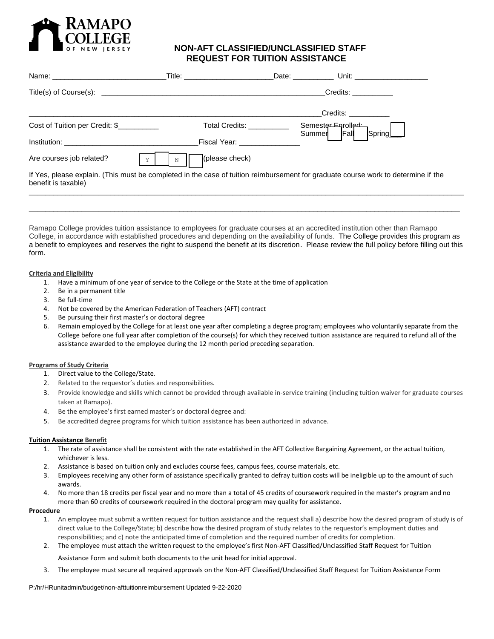

# **NON-AFT CLASSIFIED/UNCLASSIFIED STAFF REQUEST FOR TUITION ASSISTANCE**

|                                | Title: _________________ | Date:                                               | Unit: _____________                                                                                                               |
|--------------------------------|--------------------------|-----------------------------------------------------|-----------------------------------------------------------------------------------------------------------------------------------|
|                                |                          |                                                     | Credits: The Credits:                                                                                                             |
|                                |                          |                                                     | Credits: <b>Example</b>                                                                                                           |
| Cost of Tuition per Credit: \$ |                          | Total Credits: The Total Credits:<br>Summer         | Semester Enrolled<br>Spring<br>IFall                                                                                              |
|                                |                          | Fiscal Year: New York Street, New York Street, 1989 |                                                                                                                                   |
| Are courses job related?<br>Y  | (please check)           |                                                     |                                                                                                                                   |
| benefit is taxable)            |                          |                                                     | If Yes, please explain. (This must be completed in the case of tuition reimbursement for graduate course work to determine if the |
|                                |                          |                                                     |                                                                                                                                   |

Ramapo College provides tuition assistance to employees for graduate courses at an accredited institution other than Ramapo College, in accordance with established procedures and depending on the availability of funds. The College provides this program as a benefit to employees and reserves the right to suspend the benefit at its discretion. Please review the full policy before filling out this form.

\_\_\_\_\_\_\_\_\_\_\_\_\_\_\_\_\_\_\_\_\_\_\_\_\_\_\_\_\_\_\_\_\_\_\_\_\_\_\_\_\_\_\_\_\_\_\_\_\_\_\_\_\_\_\_\_\_\_\_\_\_\_\_\_\_\_\_\_\_\_\_\_\_\_\_\_\_\_\_\_\_\_\_\_\_\_\_\_\_\_\_\_\_\_\_\_\_\_\_\_\_\_\_\_\_\_

### **Criteria and Eligibility**

- 1. Have a minimum of one year of service to the College or the State at the time of application
- 2. Be in a permanent title
- 3. Be full-time
- 4. Not be covered by the American Federation of Teachers (AFT) contract
- 5. Be pursuing their first master's or doctoral degree
- 6. Remain employed by the College for at least one year after completing a degree program; employees who voluntarily separate from the College before one full year after completion of the course(s) for which they received tuition assistance are required to refund all of the assistance awarded to the employee during the 12 month period preceding separation.

## **Programs of Study Criteria**

- 1. Direct value to the College/State.
- 2. Related to the requestor's duties and responsibilities.
- 3. Provide knowledge and skills which cannot be provided through available in-service training (including tuition waiver for graduate courses taken at Ramapo).
- 4. Be the employee's first earned master's or doctoral degree and:
- 5. Be accredited degree programs for which tuition assistance has been authorized in advance.

## **Tuition Assistance Benefit**

- 1. The rate of assistance shall be consistent with the rate established in the AFT Collective Bargaining Agreement, or the actual tuition, whichever is less.
- 2. Assistance is based on tuition only and excludes course fees, campus fees, course materials, etc.
- 3. Employees receiving any other form of assistance specifically granted to defray tuition costs will be ineligible up to the amount of such awards.
- 4. No more than 18 credits per fiscal year and no more than a total of 45 credits of coursework required in the master's program and no more than 60 credits of coursework required in the doctoral program may quality for assistance.

#### **Procedure**

- 1. An employee must submit a written request for tuition assistance and the request shall a) describe how the desired program of study is of direct value to the College/State; b) describe how the desired program of study relates to the requestor's employment duties and responsibilities; and c) note the anticipated time of completion and the required number of credits for completion.
- 2. The employee must attach the written request to the employee's first Non-AFT Classified/Unclassified Staff Request for Tuition

Assistance Form and submit both documents to the unit head for initial approval.

3. The employee must secure all required approvals on the Non-AFT Classified/Unclassified Staff Request for Tuition Assistance Form

P:/hr/HRunitadmin/budget/non-afttuitionreimbursement Updated 9-22-2020